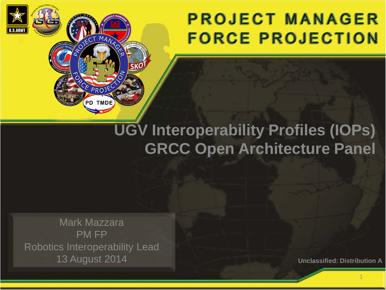## **PROJECT MANAGER FORCE PROJECTION**

## **UGV Interoperability Profiles (IOPs) GRCC Open Architecture Panel**

Mark Mazzara PM FP Robotics Interoperability Lead 13 August 2014

MANA

**PD TMDE** 

**Unclassified: Distribution A**

1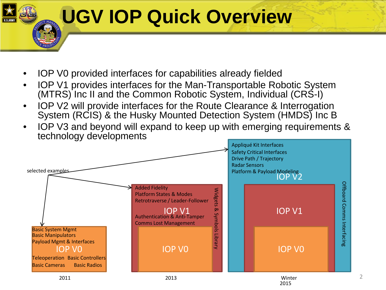## **UGV IOP Quick Overview**

- IOP V0 provided interfaces for capabilities already fielded
- IOP V1 provides interfaces for the Man-Transportable Robotic System (MTRS) Inc II and the Common Robotic System, Individual (CRS-I)
- IOP V2 will provide interfaces for the Route Clearance & Interrogation System (RCIS) & the Husky Mounted Detection System (HMDS) Inc B
- IOP V3 and beyond will expand to keep up with emerging requirements & technology developments



2015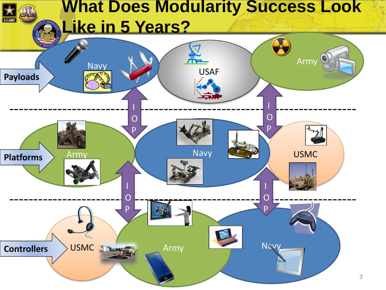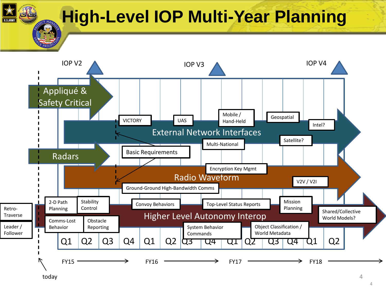**High-Level IOP Multi-Year Planning**



today

4

4